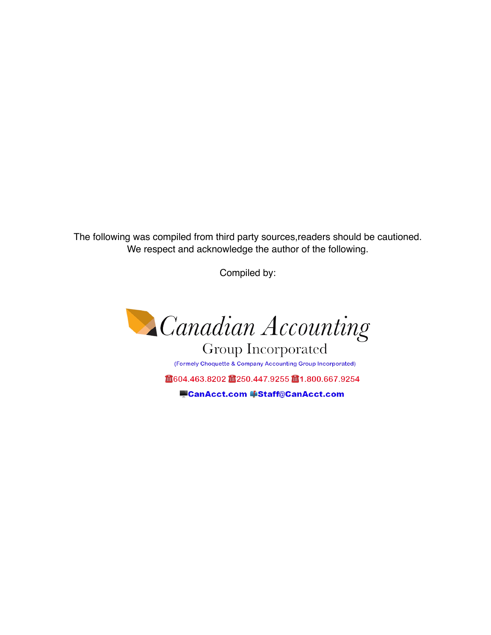The following was compiled from third party sources,readers should be cautioned. We respect and acknowledge the author of the following.

Compiled by:



**Group Incorporated** (Formely Choquette & Company Accounting Group Incorporated) ■604.463.8202 ■250.447.9255 ■1.800.667.9254

CanAcct.com [Staff@CanAcct.com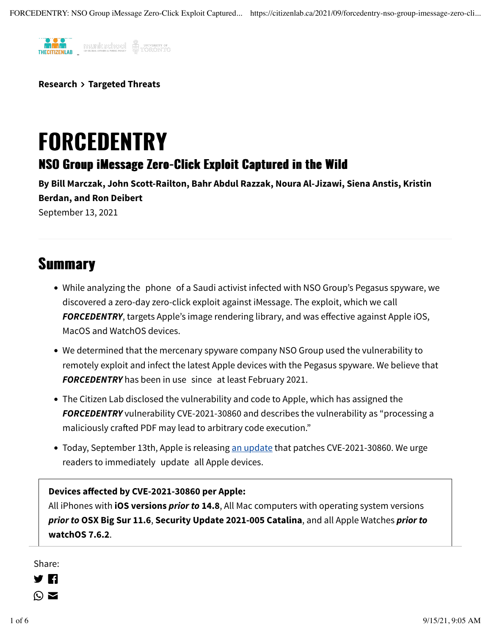

**[Research](https://citizenlab.ca/category/research/) [Targeted Threats](https://citizenlab.ca/category/research/targeted-threats/)**

# FORCEDENTRY

#### NSO Group iMessage Zero-Click Exploit Captured in the Wild

**By [Bill Marczak,](https://citizenlab.ca/author/bmarczak/) [John Scott-Railton,](https://citizenlab.ca/author/jsrailton/) [Bahr Abdul Razzak,](https://citizenlab.ca/author/bahrabdulrazzak/) [Noura Al-Jizawi](https://citizenlab.ca/author/noura/), [Siena Anstis,](https://citizenlab.ca/author/siena-anstis/) [Kristin](https://citizenlab.ca/author/kristin-berdan/) [Berdan](https://citizenlab.ca/author/kristin-berdan/), and [Ron Deibert](https://citizenlab.ca/author/profd/)** September 13, 2021

#### **Summary**

- While analyzing the phone of a Saudi activist infected with NSO Group's Pegasus spyware, we discovered a zero-day zero-click exploit against iMessage. The exploit, which we call *FORCEDENTRY*, targets Apple's image rendering library, and was effective against Apple iOS, MacOS and WatchOS devices.
- We determined that the mercenary spyware company NSO Group used the vulnerability to remotely exploit and infect the latest Apple devices with the Pegasus spyware. We believe that *FORCEDENTRY* has been in use since at least February 2021.
- The Citizen Lab disclosed the vulnerability and code to Apple, which has assigned the *FORCEDENTRY* vulnerability CVE-2021-30860 and describes the vulnerability as "processing a maliciously crafed PDF may lead to arbitrary code execution."
- Today, September 13th, Apple is releasing [an update](https://support.apple.com/en-ca/HT212807) that patches CVE-2021-30860. We urge readers to immediately update all Apple devices.

#### **Devices affected by CVE-2021-30860 per Apple:**

All iPhones with **iOS versions** *prior to* **14.8**, All Mac computers with operating system versions *prior to* **OSX Big Sur 11.6**, **Security Update 2021-005 Catalina**, and all Apple Watches *prior to* **watchOS 7.6.2**.

Share:<br>[D](https://twitter.com/intent/tweet?text=Read%20%22FORCEDENTRY%3A%20NSO%20Group%20iMessage%20Zero-Click%20Exploit%20Captured%20in%20the%20Wild%22%20by%20%40citizenlab%3A%20https%3A%2F%2Fcitizenlab.ca%2F2021%2F09%2Fforcedentry-nso-group-imessage-zero-click-exploit-captured-in-the-wild%2F)[is](https://www.facebook.com/sharer/sharer.php?u=https%3A%2F%2Fcitizenlab.ca%2F2021%2F09%2Fforcedentry-nso-group-imessage-zero-click-exploit-captured-in-the-wild%2F)covery of the Share

- 
- $\sum_{i=1}^{\infty}$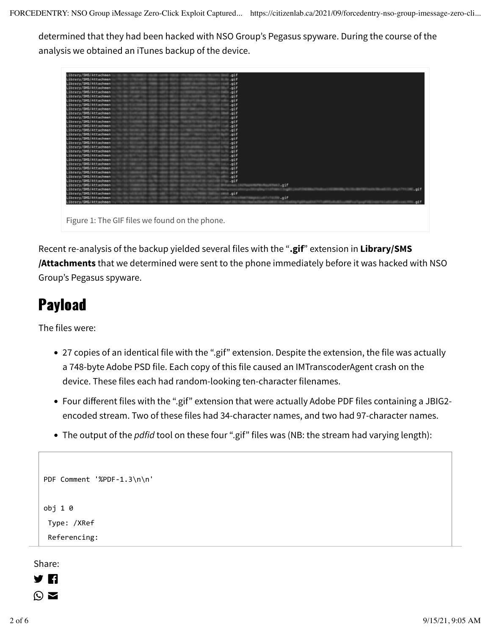determined that they had been hacked with NSO Group's Pegasus spyware. During the course of the analysis we obtained an iTunes backup of the device.

| Library/SMS/Attachment                         | l.gif         |      |
|------------------------------------------------|---------------|------|
| Library/SMS/Attachmen                          | illi .gif     |      |
| Library/SMS/Attachmen                          | .gif          |      |
| Library/SMS/Attachmen                          | .gif          |      |
| Library/SMB/Attachmen                          | i.gif         |      |
| Library/SMS/Attachmen                          | .gif          |      |
| Library/SMS/Attachmen                          | .gif          |      |
| Library/SMS/Attachmen                          | $.$ gif       |      |
| Library/BMB/Attachmen                          | .91f          |      |
| Library/SMS/Attachmen                          | .gif          |      |
| Library/SMS/Attachmen                          | .gif          |      |
| Library/SMS/Attachmen                          | .gif          |      |
| Library/SMS/Attachmen                          | .91f          |      |
| Library/SMS/Attachmen                          | .gif          |      |
| Library/SMS/Attachmen                          | .gif          |      |
| Library/SMS/Attachmen                          | .gif          |      |
| Library/SMS/Attachmen                          | $.$ gif       |      |
| Library/8MB/Attachmen                          | .91f          |      |
| Library/SMS/Attachmen                          | .gif          |      |
| Library/SMS/Attachmen                          | .gif          |      |
| Library/SMS/Attachmen                          | .gif          |      |
| Library/SMS/Attachmen                          | .91f          |      |
| Library/SMS/Attachmen                          | .91f          |      |
| Library/SMS/Attachmen                          | .gif          |      |
| Library/SMS/Attachmen                          | .gif          |      |
| Library/SMS/Attachmen                          | $= .917$      |      |
| Library/SMB/Attachmen                          | qif           |      |
| Library/SMS/Attachmen                          |               | .01f |
| Library/SMS/Attachmen                          | $min$ , $hit$ |      |
| Library/SMS/Attachmen                          | Lgif          |      |
| Library/SMS/Attachmen                          |               | ai f |
|                                                |               |      |
|                                                |               |      |
|                                                |               |      |
| Figure 1: The GIF files we found on the phone. |               |      |
|                                                |               |      |

Recent re-analysis of the backup yielded several files with the "**.gif**" extension in **Library/SMS /Attachments** that we determined were sent to the phone immediately before it was hacked with NSO Group's Pegasus spyware.

#### Payload

The files were:

- 27 copies of an identical file with the ".gif" extension. Despite the extension, the file was actually a 748-byte Adobe PSD file. Each copy of this file caused an IMTranscoderAgent crash on the device. These files each had random-looking ten-character filenames.
- Four different files with the ".gif" extension that were actually Adobe PDF files containing a JBIG2 encoded stream. Two of these files had 34-character names, and two had 97-character names.
- The output of the *pdfid* tool on these four ".gif" files was (NB: the stream had varying length):

```
PDF Comment '%PDF-1.3\n\n'
obj 1 0
 	Type:	/XRef
 	Referencing:
```
Share:

 $\blacksquare$  ...  $\blacksquare$  ...  $\blacksquare$  ...  $\blacksquare$  ...  $\blacksquare$  ...  $\blacksquare$  ...  $\blacksquare$  ...  $\blacksquare$  ...  $\blacksquare$  ...  $\blacksquare$  ...  $\blacksquare$  ...  $\blacksquare$  ...  $\blacksquare$  ...  $\blacksquare$  ...  $\blacksquare$  ...  $\blacksquare$  ...  $\blacksquare$  ...  $\blacksquare$  ...  $\blacksquare$  ...  $\blacksquare$  ...  $\odot$   $\blacksquare$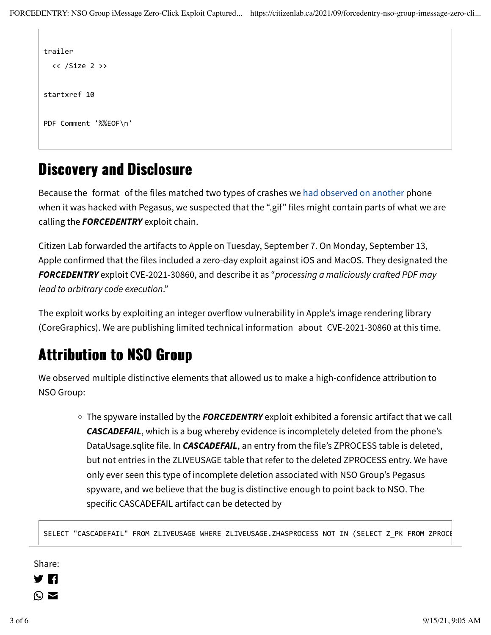```
trailer
  \langle\langle /Size 2 \ranglestartxref 10
PDF Comment '%%EOF\n'
```
#### Discovery and Disclosure

Because the format of the files matched two types of crashes we [had observed on another](https://citizenlab.ca/2021/08/bahrain-hacks-activists-with-nso-group-zero-click-iphone-exploits/) phone when it was hacked with Pegasus, we suspected that the ".gif" files might contain parts of what we are calling the *FORCEDENTRY* exploit chain.

Citizen Lab forwarded the artifacts to Apple on Tuesday, September 7. On Monday, September 13, Apple confirmed that the files included a zero-day exploit against iOS and MacOS. They designated the *FORCEDENTRY* exploit CVE-2021-30860, and describe it as "*processing a maliciously cra*f*ed PDF may lead to arbitrary code execution*."

The exploit works by exploiting an integer overflow vulnerability in Apple's image rendering library (CoreGraphics). We are publishing limited technical information about CVE-2021-30860 at this time.

### Attribution to NSO Group

We observed multiple distinctive elements that allowed us to make a high-confidence attribution to NSO Group:

◦ The spyware installed by the *FORCEDENTRY* exploit exhibited a forensic artifact that we call *CASCADEFAIL*, which is a bug whereby evidence is incompletely deleted from the phone's DataUsage.sqlite file. In *CASCADEFAIL*, an entry from the file's ZPROCESS table is deleted, but not entries in the ZLIVEUSAGE table that refer to the deleted ZPROCESS entry. We have only ever seen this type of incomplete deletion associated with NSO Group's Pegasus spyware, and we believe that the bug is distinctive enough to point back to NSO. The specific CASCADEFAIL artifact can be detected by

SELECT "CASCADEFAIL" FROM ZLIVEUSAGE WHERE ZLIVEUSAGE.ZHASPROCESS NOT IN (SELECT Z\_PK FROM ZPROCE

• The spyware installed by the *FORCEDENTRY* exploit used multiple process names, including the Share:

- 7 M
- $\odot$   $\blacksquare$